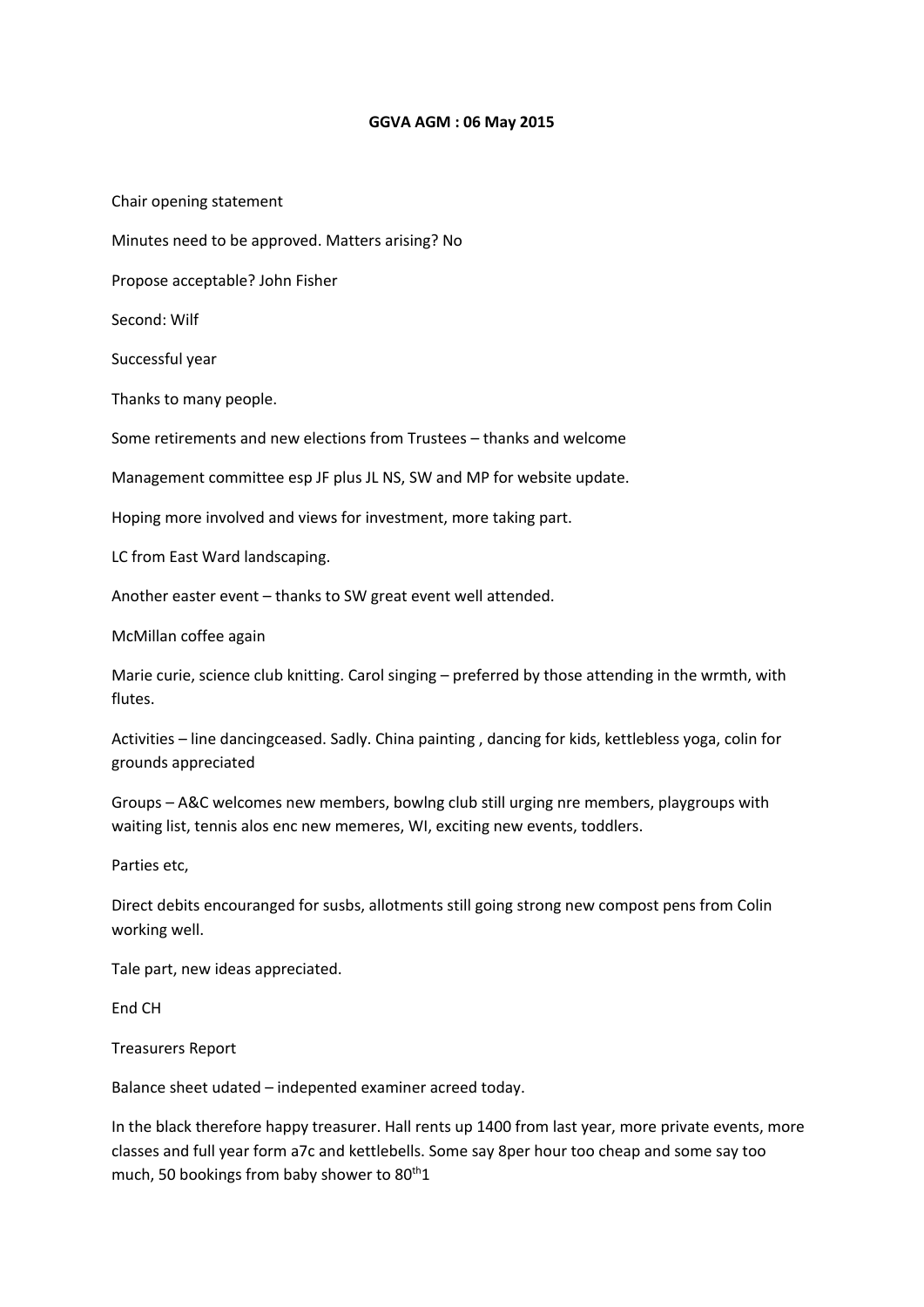## **GGVA AGM : 06 May 2015**

Chair opening statement

Minutes need to be approved. Matters arising? No

Propose acceptable? John Fisher

Second: Wilf

Successful year

Thanks to many people.

Some retirements and new elections from Trustees – thanks and welcome

Management committee esp JF plus JL NS, SW and MP for website update.

Hoping more involved and views for investment, more taking part.

LC from East Ward landscaping.

Another easter event – thanks to SW great event well attended.

McMillan coffee again

Marie curie, science club knitting. Carol singing – preferred by those attending in the wrmth, with flutes.

Activities – line dancingceased. Sadly. China painting , dancing for kids, kettlebless yoga, colin for grounds appreciated

Groups – A&C welcomes new members, bowlng club still urging nre members, playgroups with waiting list, tennis alos enc new memeres, WI, exciting new events, toddlers.

Parties etc,

Direct debits encouranged for susbs, allotments still going strong new compost pens from Colin working well.

Tale part, new ideas appreciated.

End CH

Treasurers Report

Balance sheet udated – indepented examiner acreed today.

In the black therefore happy treasurer. Hall rents up 1400 from last year, more private events, more classes and full year form a7c and kettlebells. Some say 8per hour too cheap and some say too much, 50 bookings from baby shower to  $80^{th}1$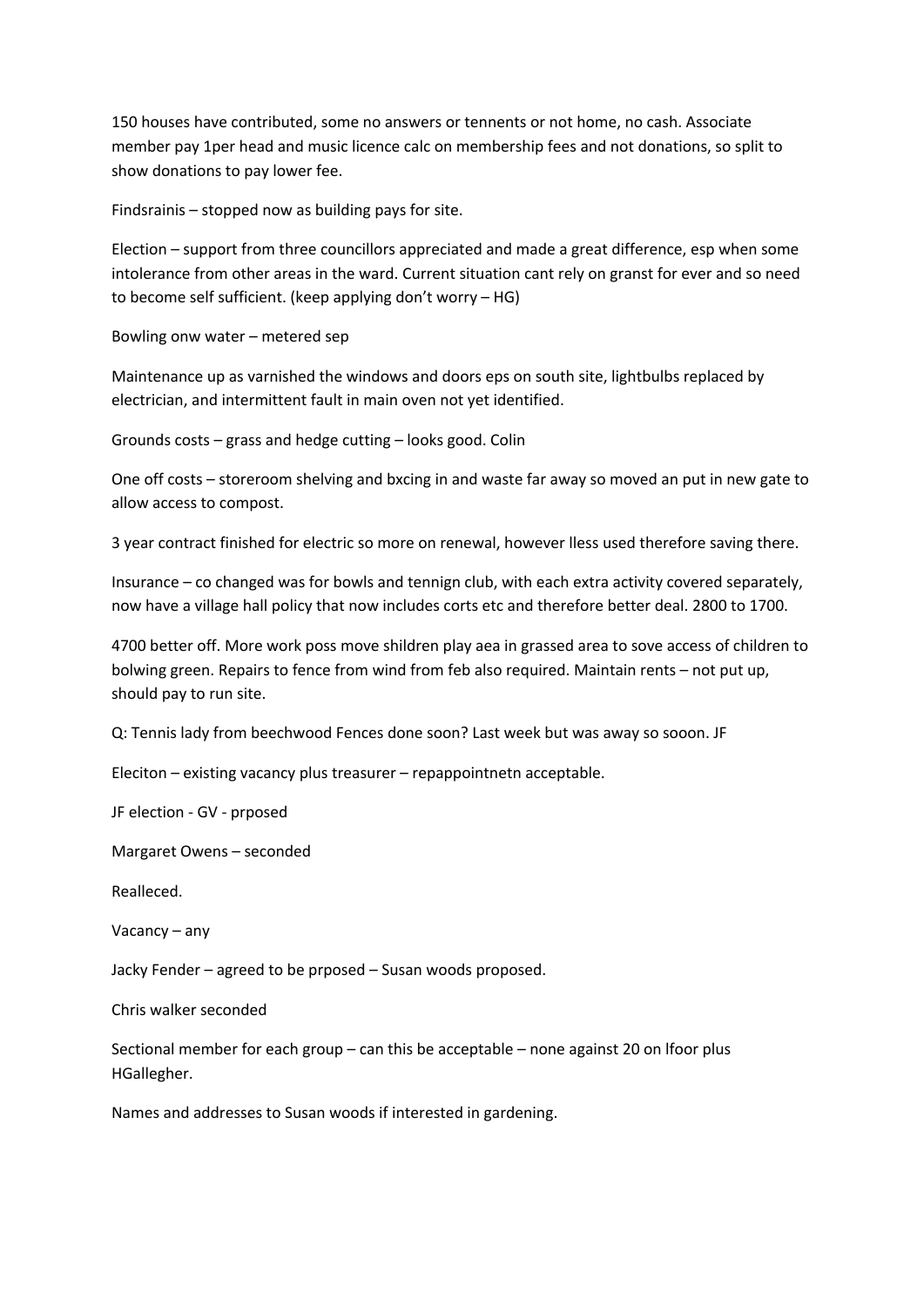150 houses have contributed, some no answers or tennents or not home, no cash. Associate member pay 1per head and music licence calc on membership fees and not donations, so split to show donations to pay lower fee.

Findsrainis – stopped now as building pays for site.

Election – support from three councillors appreciated and made a great difference, esp when some intolerance from other areas in the ward. Current situation cant rely on granst for ever and so need to become self sufficient. (keep applying don't worry – HG)

Bowling onw water – metered sep

Maintenance up as varnished the windows and doors eps on south site, lightbulbs replaced by electrician, and intermittent fault in main oven not yet identified.

Grounds costs – grass and hedge cutting – looks good. Colin

One off costs – storeroom shelving and bxcing in and waste far away so moved an put in new gate to allow access to compost.

3 year contract finished for electric so more on renewal, however lless used therefore saving there.

Insurance – co changed was for bowls and tennign club, with each extra activity covered separately, now have a village hall policy that now includes corts etc and therefore better deal. 2800 to 1700.

4700 better off. More work poss move shildren play aea in grassed area to sove access of children to bolwing green. Repairs to fence from wind from feb also required. Maintain rents – not put up, should pay to run site.

Q: Tennis lady from beechwood Fences done soon? Last week but was away so sooon. JF

Eleciton – existing vacancy plus treasurer – repappointnetn acceptable.

JF election - GV - prposed

Margaret Owens – seconded

Realleced.

Vacancy – any

Jacky Fender – agreed to be prposed – Susan woods proposed.

Chris walker seconded

Sectional member for each group – can this be acceptable – none against 20 on lfoor plus HGallegher.

Names and addresses to Susan woods if interested in gardening.